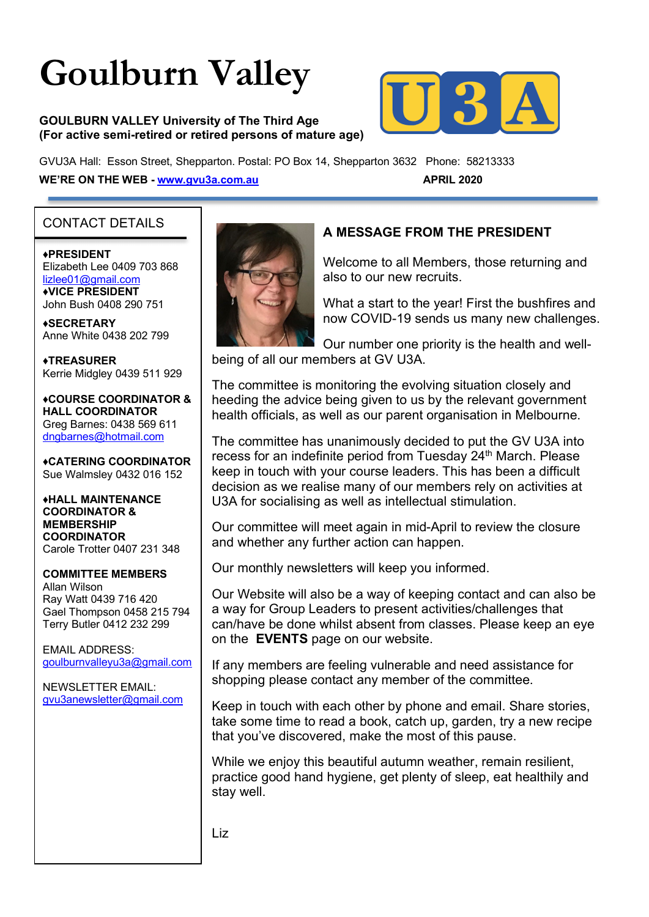# **Goulburn Valley**

**GOULBURN VALLEY University of The Third Age (For active semi-retired or retired persons of mature age)**



GVU3A Hall: Esson Street, Shepparton. Postal: PO Box 14, Shepparton 3632 Phone: 58213333 **WE'RE ON THE WEB - www.gvu3a.com.au APRIL 2020** 

# CONTACT DETAILS

# ♦**PRESIDENT**

Elizabeth Lee 0409 703 868 lizlee01@gmail.com ♦**VICE PRESIDENT** John Bush 0408 290 751

**♦SECRETARY** Anne White 0438 202 799

**♦TREASURER** Kerrie Midgley 0439 511 929

♦**COURSE COORDINATOR & HALL COORDINATOR** Greg Barnes: 0438 569 611 dngbarnes@hotmail.com

♦**CATERING COORDINATOR** Sue Walmsley 0432 016 152

♦**HALL MAINTENANCE COORDINATOR & MEMBERSHIP COORDINATOR** Carole Trotter 0407 231 348

# **COMMITTEE MEMBERS**

Allan Wilson Ray Watt 0439 716 420 Gael Thompson 0458 215 794 Terry Butler 0412 232 299

EMAIL ADDRESS: goulburnvalleyu3a@gmail.com

NEWSLETTER EMAIL: gvu3anewsletter@gmail.com



# **A MESSAGE FROM THE PRESIDENT**

Welcome to all Members, those returning and also to our new recruits.

What a start to the year! First the bushfires and now COVID-19 sends us many new challenges.

Our number one priority is the health and wellbeing of all our members at GV U3A.

The committee is monitoring the evolving situation closely and heeding the advice being given to us by the relevant government health officials, as well as our parent organisation in Melbourne.

The committee has unanimously decided to put the GV U3A into recess for an indefinite period from Tuesday 24<sup>th</sup> March. Please keep in touch with your course leaders. This has been a difficult decision as we realise many of our members rely on activities at U3A for socialising as well as intellectual stimulation.

Our committee will meet again in mid-April to review the closure and whether any further action can happen.

Our monthly newsletters will keep you informed.

Our Website will also be a way of keeping contact and can also be a way for Group Leaders to present activities/challenges that can/have be done whilst absent from classes. Please keep an eye on the **EVENTS** page on our website.

If any members are feeling vulnerable and need assistance for shopping please contact any member of the committee.

Keep in touch with each other by phone and email. Share stories, take some time to read a book, catch up, garden, try a new recipe that you've discovered, make the most of this pause.

While we enjoy this beautiful autumn weather, remain resilient, practice good hand hygiene, get plenty of sleep, eat healthily and stay well.

Liz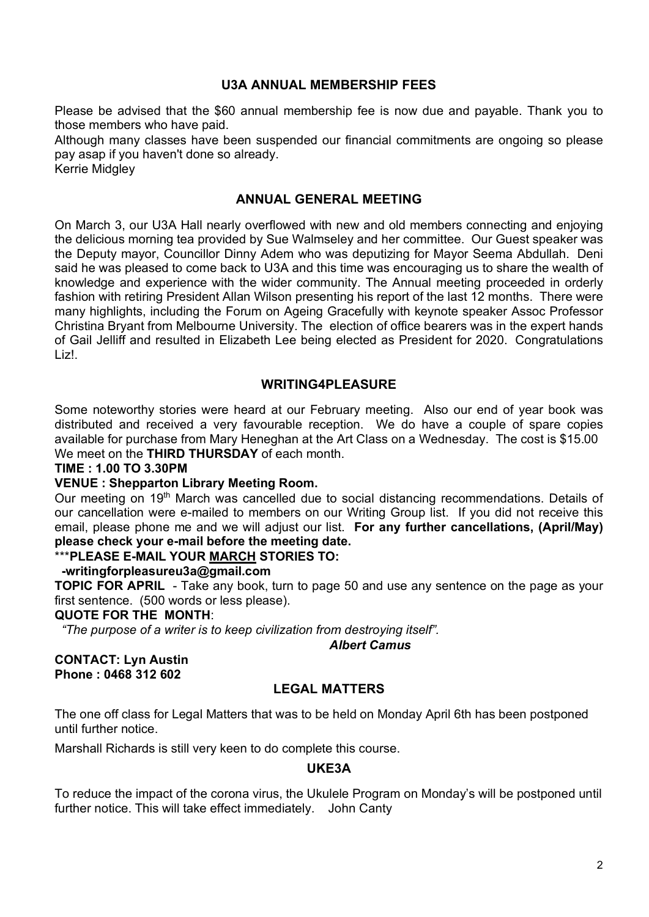#### **U3A ANNUAL MEMBERSHIP FEES**

Please be advised that the \$60 annual membership fee is now due and payable. Thank you to those members who have paid.

Although many classes have been suspended our financial commitments are ongoing so please pay asap if you haven't done so already.

Kerrie Midgley

#### **ANNUAL GENERAL MEETING**

On March 3, our U3A Hall nearly overflowed with new and old members connecting and enjoying the delicious morning tea provided by Sue Walmseley and her committee. Our Guest speaker was the Deputy mayor, Councillor Dinny Adem who was deputizing for Mayor Seema Abdullah. Deni said he was pleased to come back to U3A and this time was encouraging us to share the wealth of knowledge and experience with the wider community. The Annual meeting proceeded in orderly fashion with retiring President Allan Wilson presenting his report of the last 12 months. There were many highlights, including the Forum on Ageing Gracefully with keynote speaker Assoc Professor Christina Bryant from Melbourne University. The election of office bearers was in the expert hands of Gail Jelliff and resulted in Elizabeth Lee being elected as President for 2020. Congratulations Liz!.

#### **WRITING4PLEASURE**

Some noteworthy stories were heard at our February meeting. Also our end of year book was distributed and received a very favourable reception. We do have a couple of spare copies available for purchase from Mary Heneghan at the Art Class on a Wednesday. The cost is \$15.00 We meet on the **THIRD THURSDAY** of each month.

#### **TIME : 1.00 TO 3.30PM**

#### **VENUE : Shepparton Library Meeting Room.**

Our meeting on 19<sup>th</sup> March was cancelled due to social distancing recommendations. Details of our cancellation were e-mailed to members on our Writing Group list. If you did not receive this email, please phone me and we will adjust our list. **For any further cancellations, (April/May) please check your e-mail before the meeting date.** 

#### \*\*\***PLEASE E-MAIL YOUR MARCH STORIES TO:**

#### **-writingforpleasureu3a@gmail.com**

**TOPIC FOR APRIL** - Take any book, turn to page 50 and use any sentence on the page as your first sentence. (500 words or less please).

#### **QUOTE FOR THE MONTH**:

 *"The purpose of a writer is to keep civilization from destroying itself".*

 *Albert Camus*

#### **CONTACT: Lyn Austin Phone : 0468 312 602**

# **LEGAL MATTERS**

The one off class for Legal Matters that was to be held on Monday April 6th has been postponed until further notice.

Marshall Richards is still very keen to do complete this course.

#### **UKE3A**

To reduce the impact of the corona virus, the Ukulele Program on Monday's will be postponed until further notice. This will take effect immediately. John Canty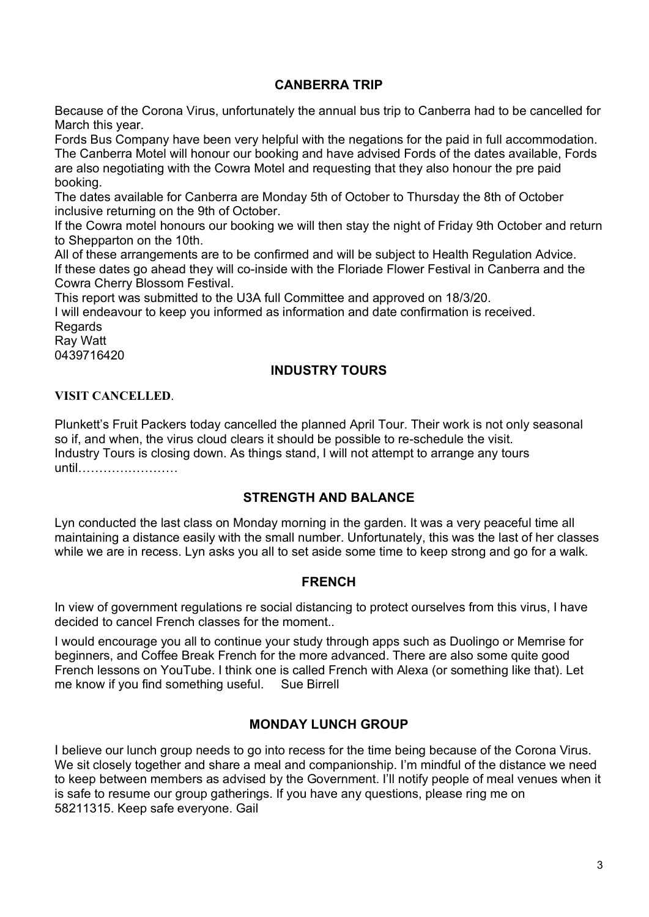#### **CANBERRA TRIP**

Because of the Corona Virus, unfortunately the annual bus trip to Canberra had to be cancelled for March this year.

Fords Bus Company have been very helpful with the negations for the paid in full accommodation. The Canberra Motel will honour our booking and have advised Fords of the dates available, Fords are also negotiating with the Cowra Motel and requesting that they also honour the pre paid booking.

The dates available for Canberra are Monday 5th of October to Thursday the 8th of October inclusive returning on the 9th of October.

If the Cowra motel honours our booking we will then stay the night of Friday 9th October and return to Shepparton on the 10th.

All of these arrangements are to be confirmed and will be subject to Health Regulation Advice. If these dates go ahead they will co-inside with the Floriade Flower Festival in Canberra and the Cowra Cherry Blossom Festival.

This report was submitted to the U3A full Committee and approved on 18/3/20.

I will endeavour to keep you informed as information and date confirmation is received. **Regards** 

Ray Watt 0439716420

# **INDUSTRY TOURS**

#### **VISIT CANCELLED**.

Plunkett's Fruit Packers today cancelled the planned April Tour. Their work is not only seasonal so if, and when, the virus cloud clears it should be possible to re-schedule the visit. Industry Tours is closing down. As things stand, I will not attempt to arrange any tours until……………………

# **STRENGTH AND BALANCE**

Lyn conducted the last class on Monday morning in the garden. It was a very peaceful time all maintaining a distance easily with the small number. Unfortunately, this was the last of her classes while we are in recess. Lyn asks you all to set aside some time to keep strong and go for a walk.

#### **FRENCH**

In view of government regulations re social distancing to protect ourselves from this virus, I have decided to cancel French classes for the moment..

I would encourage you all to continue your study through apps such as Duolingo or Memrise for beginners, and Coffee Break French for the more advanced. There are also some quite good French lessons on YouTube. I think one is called French with Alexa (or something like that). Let me know if you find something useful. Sue Birrell

#### **MONDAY LUNCH GROUP**

I believe our lunch group needs to go into recess for the time being because of the Corona Virus. We sit closely together and share a meal and companionship. I'm mindful of the distance we need to keep between members as advised by the Government. I'll notify people of meal venues when it is safe to resume our group gatherings. If you have any questions, please ring me on 58211315. Keep safe everyone. Gail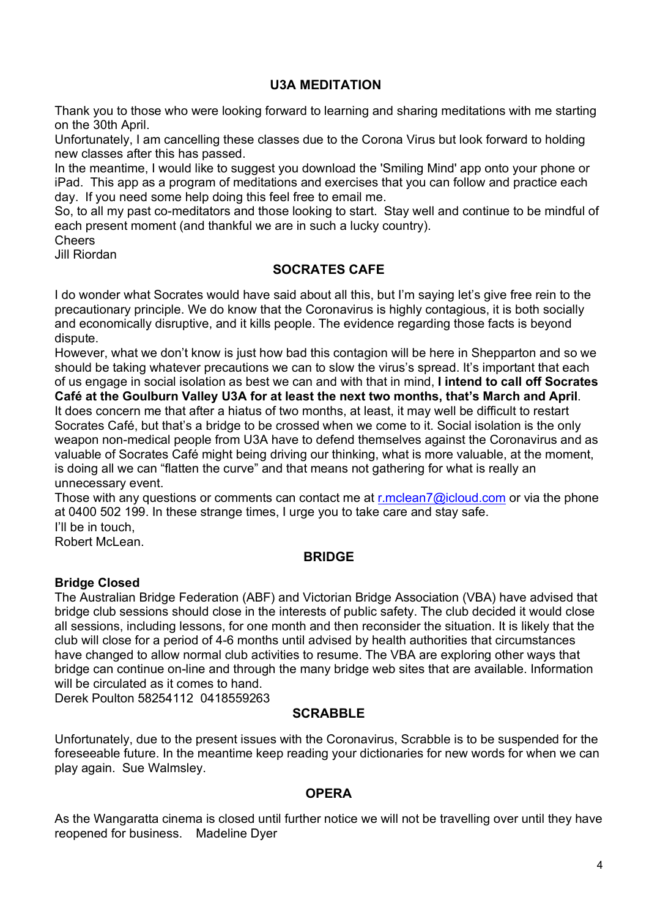#### **U3A MEDITATION**

Thank you to those who were looking forward to learning and sharing meditations with me starting on the 30th April.

Unfortunately, I am cancelling these classes due to the Corona Virus but look forward to holding new classes after this has passed.

In the meantime, I would like to suggest you download the 'Smiling Mind' app onto your phone or iPad. This app as a program of meditations and exercises that you can follow and practice each day. If you need some help doing this feel free to email me.

So, to all my past co-meditators and those looking to start. Stay well and continue to be mindful of each present moment (and thankful we are in such a lucky country).

Cheers

Jill Riordan

# **SOCRATES CAFE**

I do wonder what Socrates would have said about all this, but I'm saying let's give free rein to the precautionary principle. We do know that the Coronavirus is highly contagious, it is both socially and economically disruptive, and it kills people. The evidence regarding those facts is beyond dispute.

However, what we don't know is just how bad this contagion will be here in Shepparton and so we should be taking whatever precautions we can to slow the virus's spread. It's important that each of us engage in social isolation as best we can and with that in mind, **I intend to call off Socrates** 

**Café at the Goulburn Valley U3A for at least the next two months, that's March and April**. It does concern me that after a hiatus of two months, at least, it may well be difficult to restart Socrates Café, but that's a bridge to be crossed when we come to it. Social isolation is the only weapon non-medical people from U3A have to defend themselves against the Coronavirus and as valuable of Socrates Café might being driving our thinking, what is more valuable, at the moment, is doing all we can "flatten the curve" and that means not gathering for what is really an unnecessary event.

Those with any questions or comments can contact me at r.mclean7@icloud.com or via the phone at 0400 502 199. In these strange times, I urge you to take care and stay safe. I'll be in touch,

Robert McLean.

#### **BRIDGE**

#### **Bridge Closed**

The Australian Bridge Federation (ABF) and Victorian Bridge Association (VBA) have advised that bridge club sessions should close in the interests of public safety. The club decided it would close all sessions, including lessons, for one month and then reconsider the situation. It is likely that the club will close for a period of 4-6 months until advised by health authorities that circumstances have changed to allow normal club activities to resume. The VBA are exploring other ways that bridge can continue on-line and through the many bridge web sites that are available. Information will be circulated as it comes to hand.

Derek Poulton 58254112 0418559263

# **SCRABBLE**

Unfortunately, due to the present issues with the Coronavirus, Scrabble is to be suspended for the foreseeable future. In the meantime keep reading your dictionaries for new words for when we can play again. Sue Walmsley.

#### **OPERA**

As the Wangaratta cinema is closed until further notice we will not be travelling over until they have reopened for business. Madeline Dyer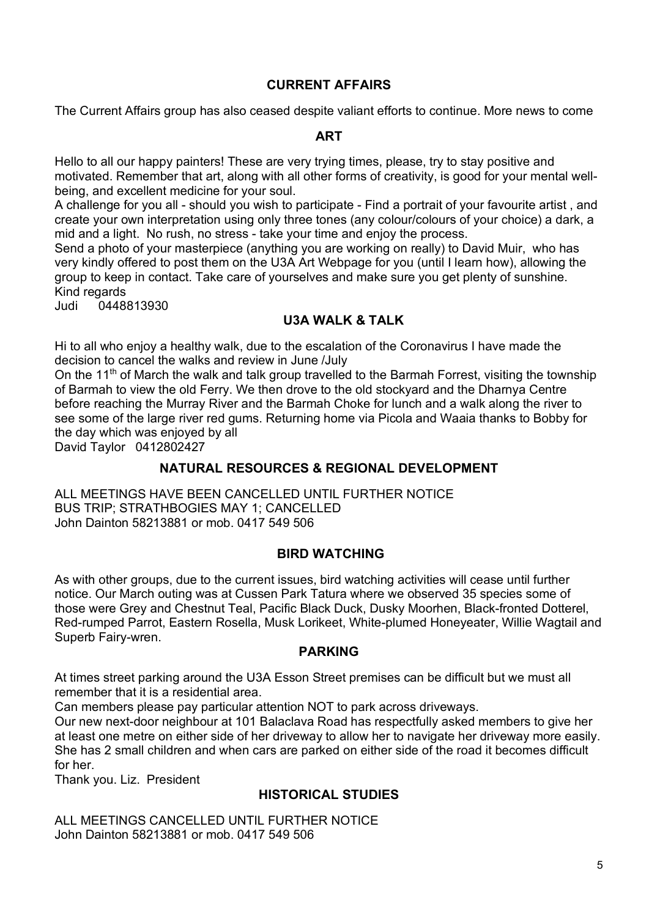#### **CURRENT AFFAIRS**

The Current Affairs group has also ceased despite valiant efforts to continue. More news to come

#### **ART**

Hello to all our happy painters! These are very trying times, please, try to stay positive and motivated. Remember that art, along with all other forms of creativity, is good for your mental wellbeing, and excellent medicine for your soul.

A challenge for you all - should you wish to participate - Find a portrait of your favourite artist , and create your own interpretation using only three tones (any colour/colours of your choice) a dark, a mid and a light. No rush, no stress - take your time and enjoy the process.

Send a photo of your masterpiece (anything you are working on really) to David Muir, who has very kindly offered to post them on the U3A Art Webpage for you (until I learn how), allowing the group to keep in contact. Take care of yourselves and make sure you get plenty of sunshine. Kind regards

Judi 0448813930

# **U3A WALK & TALK**

Hi to all who enjoy a healthy walk, due to the escalation of the Coronavirus I have made the decision to cancel the walks and review in June /July

On the 11<sup>th</sup> of March the walk and talk group travelled to the Barmah Forrest, visiting the township of Barmah to view the old Ferry. We then drove to the old stockyard and the Dharnya Centre before reaching the Murray River and the Barmah Choke for lunch and a walk along the river to see some of the large river red gums. Returning home via Picola and Waaia thanks to Bobby for the day which was enjoyed by all

David Taylor 0412802427

# **NATURAL RESOURCES & REGIONAL DEVELOPMENT**

ALL MEETINGS HAVE BEEN CANCELLED UNTIL FURTHER NOTICE BUS TRIP; STRATHBOGIES MAY 1; CANCELLED John Dainton 58213881 or mob. 0417 549 506

# **BIRD WATCHING**

As with other groups, due to the current issues, bird watching activities will cease until further notice. Our March outing was at Cussen Park Tatura where we observed 35 species some of those were Grey and Chestnut Teal, Pacific Black Duck, Dusky Moorhen, Black-fronted Dotterel, Red-rumped Parrot, Eastern Rosella, Musk Lorikeet, White-plumed Honeyeater, Willie Wagtail and Superb Fairy-wren.

# **PARKING**

At times street parking around the U3A Esson Street premises can be difficult but we must all remember that it is a residential area.

Can members please pay particular attention NOT to park across driveways.

Our new next-door neighbour at 101 Balaclava Road has respectfully asked members to give her at least one metre on either side of her driveway to allow her to navigate her driveway more easily. She has 2 small children and when cars are parked on either side of the road it becomes difficult for her.

Thank you. Liz. President

# **HISTORICAL STUDIES**

ALL MEETINGS CANCELLED UNTIL FURTHER NOTICE John Dainton 58213881 or mob. 0417 549 506